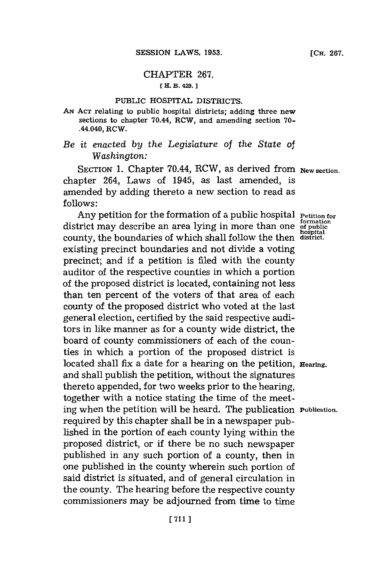## CHAPTER **267. [** H. B. 429.

## PUBLIC HOSPITAL. **DISTRICTS.**

**AN~ ACT** relating to public hospital districts; adding three new sections to chapter 70.44, RCW, and amending section **70-** .44.040, RCW.

*Be it enacted by the Legislature of the State of Washington:*

SECTION 1. Chapter 70.44, RCW, as derived from **New section**. chapter 264, Laws of 1945, as last amended, is amended **by** adding thereto a new section to read as **follows:**

Any petition for the formation of a public hospital **Petition** for district may describe an area lying in more than one of public<br>county, the boundaries of which shall follow the then district. county, the boundaries of which shall follow the then existing precinct boundaries and not divide a voting precinct; and if a petition is filed with the county auditor of the respective counties in which a portion of the proposed district is located, containing not less than ten percent of the voters of that area of each county of the proposed district who voted at the last general election, certified **by** the said respective auditors in like manner as for a county wide district, the board of county commissioners of each of the counties in which a portion of the proposed district is located shall fix a date for a hearing on the petition, **Hearing**. and shall publish the petition, without the signatures thereto appended, for two weeks prior to the hearing, together with a notice stating the time of the meeting when the petition will be heard. The publication **Publication.** required **by** this chapter shall be in a newspaper published in the portion of each county lying within the proposed district, or if there be no such newspaper published in any such portion of a county, then in one published in the county wherein such portion of said district is situated, and of general circulation in the county. The hearing before the respective county commissioners may be adjourned from time to time

**[CH. 267.**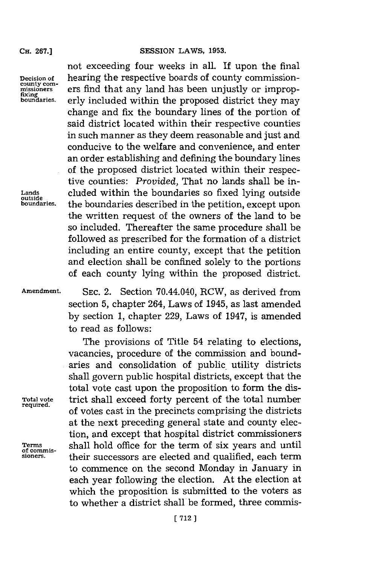## not exceeding four weeks in all. If upon the final **CH. 267.] SESSION** LAWS, **1953.**

**bon=aries.** erly included within the proposed district they may

**Decision of** hearing the respective boards of county commission**county com-**<br>missioners **ers find that any land has been unjustly or improp-**<br>fixing<br>boundaries. erly included within the proposed district they may

change and fix the boundary lines of the portion of said district located within their respective counties in such manner as they deem reasonable and just and conducive to the welfare and convenience, and enter an order establishing and defining the boundary lines of the proposed district located within their respective counties: *Provided,* That no lands shall be in-**Lands** cluded within the boundaries so fixed lying outside **outside boundaries,** the boundaries described in the petition, except upon the written request of the owners of the land to be so included. Thereafter the same procedure shall be followed as prescribed for the formation of a district including an entire county, except that the petition and election shall be confined solely to the portions of each county lying within the proposed district.

**Amendment. SEC.** 2. Section 70.44.040, RCW, as derived from section **5,** chapter 264, Laws of 1945, as last amended **by** section **1,** chapter **229,** Laws of 1947, is amended to read as follows:

The provisions of Title 54 relating to elections, vacancies, procedure of the commission and boundaries and consolidation of public. utility districts shall govern public hospital districts, except that the total vote cast upon the proposition to form the dis-**Total vote** trict shall exceed forty percent of the total number **required.** of votes cast in the precincts comprising the districts at the next preceding general state and county election, and except that hospital district commissioners **Terms shall hold office for the term of six years and until** *of commis-*<br>sioners. **their successors are elected and qualified, each term** to commence on the second Monday in January in each year following the election. At the election at which the proposition is submitted to the voters as to whether a district shall be formed, three commis-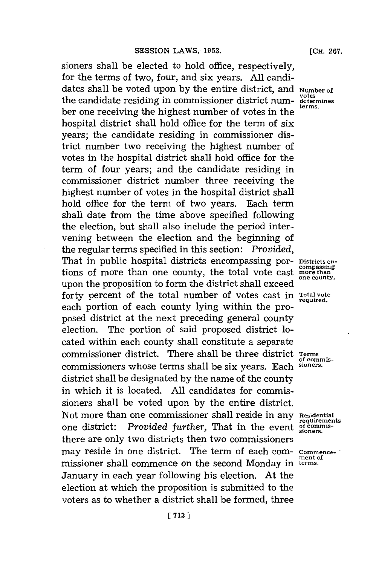sioners shall be elected to hold office, respectively, for the terms of two, four, and six years. **All** candidates shall be voted upon by the entire district, and **Number of** the candidate residing in commissioner district num-  $\frac{\text{votes}}{\text{terms}}$ ber one receiving the highest number of votes in the hospital district shall hold office for the term of six years; the candidate residing in commissioner district number two receiving the highest number of votes in the hospital district shall hold office for the term of four years; and the candidate residing in commissioner district number three receiving the highest number of votes in the hospital district shall hold office for the term of two years. Each term shall date from the time above specified following the election, but shall also include the period intervening between the election and the beginning of the regular terms specified in this section: *Provided,* That in public hospital districts encompassing por- **Districts** entions of more than one county, the total vote cast **more than**<br>me county, upon the proposition to form the district shall exceed forty percent of the total number of votes cast in Total vote each portion of each county lying within the proposed district at the next preceding general county election. The portion of said proposed district located within each county shall constitute a separate commissioner district. There shall be three district **Terms** commissioners whose terms shall be six years. Each **sioners.** district shall be designated **by** the name of the county in which it is located. **All** candidates for commissioners shall be voted upon **by** the entire district. Not more than one commissioner shall reside in any **Residential**<br>requirements one district: *Provided further*, That in the event **of commis**there are only two districts then two commissioners may reside in one district. The term of each com- **commence**missioner shall commence on the second Monday in terms. January in each year following his election. At the election at which the proposition is submitted to the voters as to whether a district shall be formed, three

**of commis-**